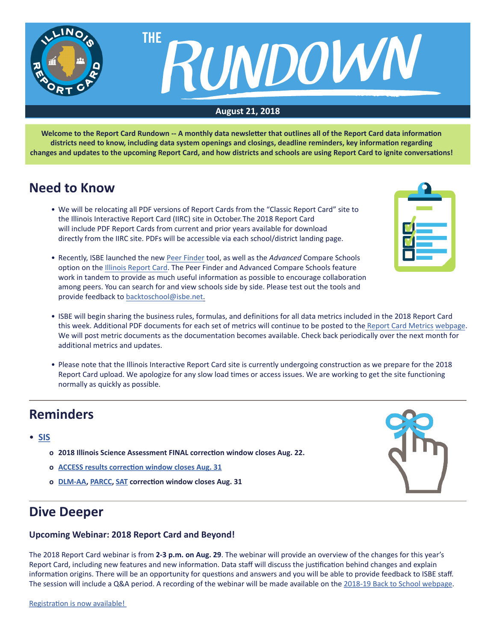

**Welcome to the Report Card Rundown -- A monthly data newsletter that outlines all of the Report Card data information districts need to know, including data system openings and closings, deadline reminders, key information regarding changes and updates to the upcoming Report Card, and how districts and schools are using Report Card to ignite conversations!**

### **Need to Know**

- We will be relocating all PDF versions of Report Cards from the "Classic Report Card" site to the Illinois Interactive Report Card (IIRC) site in October.The 2018 Report Card will include PDF Report Cards from current and prior years available for download directly from the IIRC site. PDFs will be accessible via each school/district landing page.
- Recently, ISBE launched the new [Peer Finder](https://www.isbe.net/Pages/peer-finder.aspx) tool, as well as the *Advanced* Compare Schools option on the [Illinois Report Card.](https://www.illinoisreportcard.com/) The Peer Finder and Advanced Compare Schools feature work in tandem to provide as much useful information as possible to encourage collaboration among peers. You can search for and view schools side by side. Please test out the tools and provide feedback to [backtoschool@isbe.net.](mailto:backtoschool@isbe.net)



- ISBE will begin sharing the business rules, formulas, and definitions for all data metrics included in the 2018 Report Card this week. Additional PDF documents for each set of metrics will continue to be posted to the Report Ca[rd Metrics](https://www.isbe.net/Pages/Report-Card-Metrics.aspx) [webpage.](https://www.isbe.net/Pages/Report-Card-Metrics.aspx) We will post metric documents as the documentation becomes available. Check back periodically over the next month for additional metrics and updates.
- Please note that the Illinois Interactive Report Card site is currently undergoing construction as we prepare for the 2018 Report Card upload. We apologize for any slow load times or access issues. We are working to get the site functioning normally as quickly as possible.

# **Reminders**

#### • **[SIS](https://www.isbe.net/Pages/Student-Information-System.aspx)**

- **o 2018 Illinois Science Assessment FINAL correction window closes Aug. 22.**
- **o [ACCESS results correction window closes Aug. 31](https://www.isbe.net/Documents/ACCESS-Scores.pdf)**
- **o [DLM-AA,](https://www.isbe.net/Documents/DLM-AA-AC-Announcement.pdf) [PARCC](https://www.isbe.net/Documents/PARCC-AC.pdf), [SAT](https://www.isbe.net/Documents/SAT-AC-Announcement.pdf) correction window closes Aug. 31**



## **Dive Deeper**

#### **Upcoming Webinar: 2018 Report Card and Beyond!**

The 2018 Report Card webinar is from **2-3 p.m. on Aug. 29**. The webinar will provide an overview of the changes for this year's Report Card, including new features and new information. Data staff will discuss the justification behind changes and explain information origins. There will be an opportunity for questions and answers and you will be able to provide feedback to ISBE staff. The session will include a Q&A period. A recording of the webinar will be made available on the [2018-19 Back to School webpage](https://www.isbe.net/backtoschool).